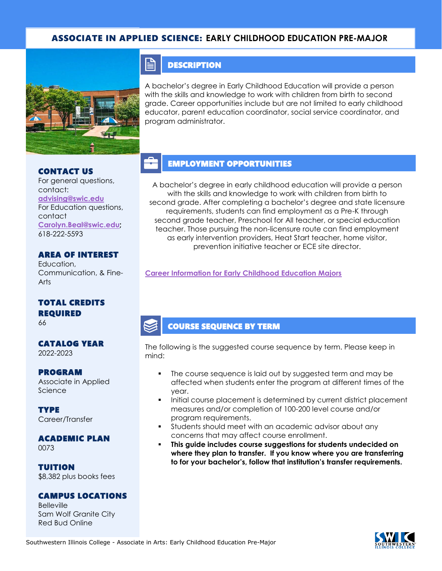### ASSOCIATE IN APPLIED SCIENCE: **EARLY CHILDHOOD EDUCATION PRE-MAJOR**



#### CONTACT US

For general questions, contact: **[advising@swic.edu](mailto:advising@swic.edu)** For Education questions, contact **[Carolyn.Beal@swic.edu;](mailto:Carolyn.Beal@swic.edu)** 618-222-5593

#### AREA OF INTEREST

Education, Communication, & Fine-Arts

#### TOTAL CREDITS REQUIRED

66

#### CATALOG YEAR 2022-2023

#### PROGRAM

Associate in Applied Science

**TYPE** Career/Transfer

### ACADEMIC PLAN

0073

TUITION \$8,382 plus books fees

#### CAMPUS LOCATIONS

**Belleville** Sam Wolf Granite City Red Bud Online

### **DESCRIPTION**

A bachelor's degree in Early Childhood Education will provide a person with the skills and knowledge to work with children from birth to second grade. Career opportunities include but are not limited to early childhood educator, parent education coordinator, social service coordinator, and program administrator.

# EMPLOYMENT OPPORTUNITIES

A bachelor's degree in early childhood education will provide a person with the skills and knowledge to work with children from birth to second grade. After completing a bachelor's degree and state licensure requirements, students can find employment as a Pre-K through second grade teacher, Preschool for All teacher, or special education teacher. Those pursuing the non-licensure route can find employment as early intervention providers, Heat Start teacher, home visitor, prevention initiative teacher or ECE site director.

**[Career Information for Early Childhood Education Majors](https://www.isbe.net/licensure)**

### COURSE SEQUENCE BY TERM

The following is the suggested course sequence by term. Please keep in mind:

- The course sequence is laid out by suggested term and may be affected when students enter the program at different times of the year.
- Initial course placement is determined by current district placement measures and/or completion of 100-200 level course and/or program requirements.
- Students should meet with an academic advisor about any concerns that may affect course enrollment.
- This guide includes course suggestions for students undecided on **where they plan to transfer. If you know where you are transferring to for your bachelor's, follow that institution's transfer requirements.**